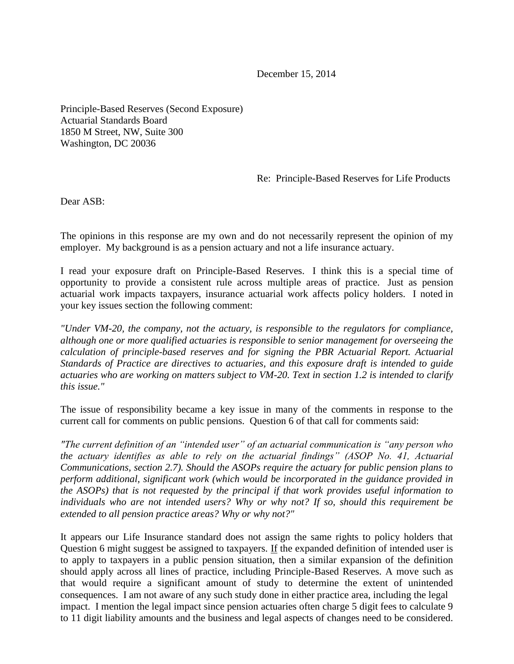December 15, 2014

Principle-Based Reserves (Second Exposure) Actuarial Standards Board 1850 M Street, NW, Suite 300 Washington, DC 20036

Re: Principle-Based Reserves for Life Products

Dear ASB:

The opinions in this response are my own and do not necessarily represent the opinion of my employer. My background is as a pension actuary and not a life insurance actuary.

I read your exposure draft on Principle-Based Reserves. I think this is a special time of opportunity to provide a consistent rule across multiple areas of practice. Just as pension actuarial work impacts taxpayers, insurance actuarial work affects policy holders. I noted in your key issues section the following comment:

*"Under VM-20, the company, not the actuary, is responsible to the regulators for compliance, although one or more qualified actuaries is responsible to senior management for overseeing the calculation of principle-based reserves and for signing the PBR Actuarial Report. Actuarial Standards of Practice are directives to actuaries, and this exposure draft is intended to guide actuaries who are working on matters subject to VM-20. Text in section 1.2 is intended to clarify this issue."*

The issue of responsibility became a key issue in many of the comments in response to the current call for comments on public pensions. Question 6 of that call for comments said:

*"The current definition of an "intended user" of an actuarial communication is "any person who the actuary identifies as able to rely on the actuarial findings" (ASOP No. 41, Actuarial Communications, section 2.7). Should the ASOPs require the actuary for public pension plans to perform additional, significant work (which would be incorporated in the guidance provided in the ASOPs) that is not requested by the principal if that work provides useful information to individuals who are not intended users? Why or why not? If so, should this requirement be extended to all pension practice areas? Why or why not?"*

It appears our Life Insurance standard does not assign the same rights to policy holders that Question 6 might suggest be assigned to taxpayers. If the expanded definition of intended user is to apply to taxpayers in a public pension situation, then a similar expansion of the definition should apply across all lines of practice, including Principle-Based Reserves. A move such as that would require a significant amount of study to determine the extent of unintended consequences. I am not aware of any such study done in either practice area, including the legal impact. I mention the legal impact since pension actuaries often charge 5 digit fees to calculate 9 to 11 digit liability amounts and the business and legal aspects of changes need to be considered.